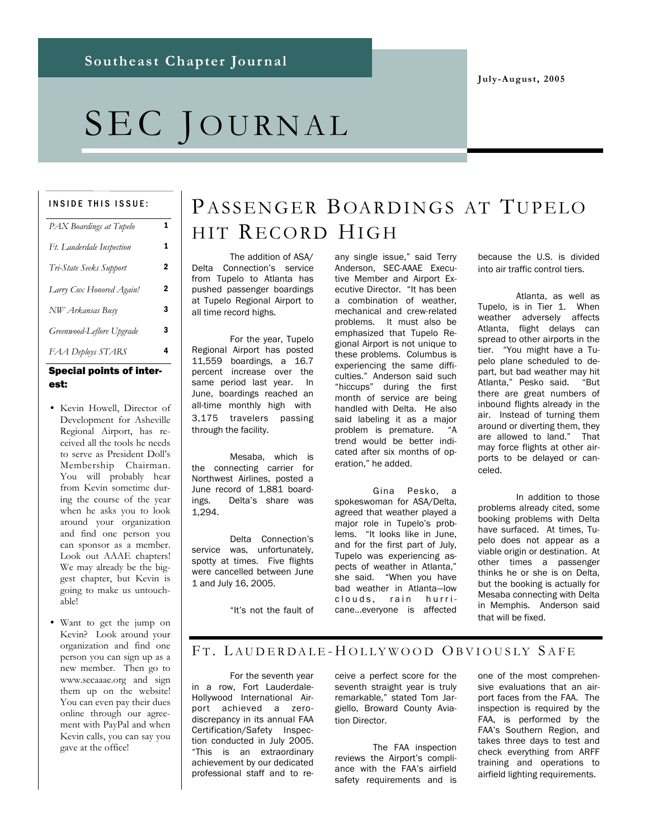**July-August, 2005**

# SEC JOURNAL

#### INSIDE THIS ISSUE:

| PAX Boardings at Tupelo   | 1              |
|---------------------------|----------------|
| Ft. Lauderdale Inspection | 1              |
| Tri-State Seeks Support   | 2              |
| Larry Cox Honored Again!  | $\overline{2}$ |
| NW Arkansas Busy          | 3              |
| Greenwood-Leflore Upgrade | 3              |
| FAA Deploys STARS         | 4              |
|                           |                |

#### Special points of interest:

- Kevin Howell, Director of Development for Asheville Regional Airport, has received all the tools he needs to serve as President Doll's Membership Chairman. You will probably hear from Kevin sometime during the course of the year when he asks you to look around your organization and find one person you can sponsor as a member. Look out AAAE chapters! We may already be the biggest chapter, but Kevin is going to make us untouchable!
- Want to get the jump on Kevin? Look around your organization and find one person you can sign up as a new member. Then go to www.secaaae.org and sign them up on the website! You can even pay their dues online through our agreement with PayPal and when Kevin calls, you can say you gave at the office!

# PASSENGER BOARDINGS AT TUPELO HIT RECORD HIGH

The addition of ASA/ Delta Connection's service from Tupelo to Atlanta has pushed passenger boardings at Tupelo Regional Airport to all time record highs.

For the year, Tupelo Regional Airport has posted 11,559 boardings, a 16.7 percent increase over the same period last year. In June, boardings reached an all-time monthly high with 3,175 travelers passing through the facility.

Mesaba, which is the connecting carrier for Northwest Airlines, posted a June record of 1,881 boardings. Delta's share was 1,294.

Delta Connection's service was, unfortunately, spotty at times. Five flights were cancelled between June 1 and July 16, 2005.

"It's not the fault of

any single issue," said Terry Anderson, SEC-AAAE Executive Member and Airport Executive Director. "It has been a combination of weather, mechanical and crew-related problems. It must also be emphasized that Tupelo Regional Airport is not unique to these problems. Columbus is experiencing the same difficulties." Anderson said such "hiccups" during the first month of service are being handled with Delta. He also said labeling it as a major problem is premature. "A trend would be better indicated after six months of operation," he added.

Gina Pesko, a spokeswoman for ASA/Delta, agreed that weather played a major role in Tupelo's problems. "It looks like in June, and for the first part of July, Tupelo was experiencing aspects of weather in Atlanta," she said. "When you have bad weather in Atlanta—low clouds, rain hurricane...everyone is affected because the U.S. is divided into air traffic control tiers.

Atlanta, as well as Tupelo, is in Tier 1. When weather adversely affects Atlanta, flight delays can spread to other airports in the tier. "You might have a Tupelo plane scheduled to depart, but bad weather may hit Atlanta," Pesko said. "But there are great numbers of inbound flights already in the air. Instead of turning them around or diverting them, they are allowed to land." That may force flights at other airports to be delayed or canceled.

In addition to those problems already cited, some booking problems with Delta have surfaced. At times, Tupelo does not appear as a viable origin or destination. At other times a passenger thinks he or she is on Delta, but the booking is actually for Mesaba connecting with Delta in Memphis. Anderson said that will be fixed.

### FT. LAUDERDALE-HOLLYWOOD OBVIOUSLY SAFE

For the seventh year in a row, Fort Lauderdale-Hollywood International Airport achieved a zerodiscrepancy in its annual FAA Certification/Safety Inspection conducted in July 2005. "This is an extraordinary achievement by our dedicated professional staff and to receive a perfect score for the seventh straight year is truly remarkable," stated Tom Jargiello, Broward County Aviation Director.

The FAA inspection reviews the Airport's compliance with the FAA's airfield safety requirements and is one of the most comprehensive evaluations that an airport faces from the FAA. The inspection is required by the FAA, is performed by the FAA's Southern Region, and takes three days to test and check everything from ARFF training and operations to airfield lighting requirements.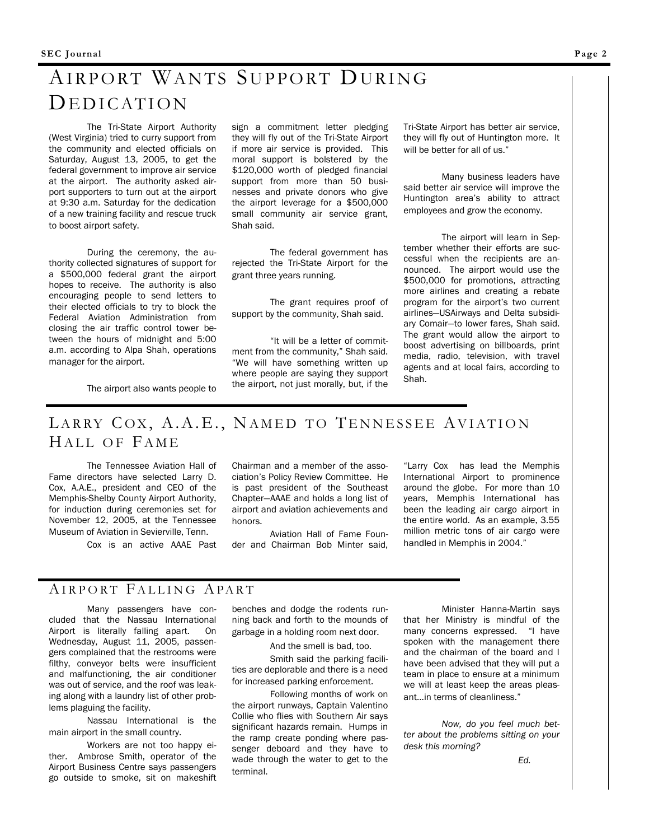# AIRPORT WANTS SUPPORT DURING DE DICATION

The Tri-State Airport Authority (West Virginia) tried to curry support from the community and elected officials on Saturday, August 13, 2005, to get the federal government to improve air service at the airport. The authority asked airport supporters to turn out at the airport at 9:30 a.m. Saturday for the dedication of a new training facility and rescue truck to boost airport safety.

During the ceremony, the authority collected signatures of support for a \$500,000 federal grant the airport hopes to receive. The authority is also encouraging people to send letters to their elected officials to try to block the Federal Aviation Administration from closing the air traffic control tower between the hours of midnight and 5:00 a.m. according to Alpa Shah, operations manager for the airport.

sign a commitment letter pledging they will fly out of the Tri-State Airport if more air service is provided. This moral support is bolstered by the \$120,000 worth of pledged financial support from more than 50 businesses and private donors who give the airport leverage for a \$500,000 small community air service grant, Shah said.

The federal government has rejected the Tri-State Airport for the grant three years running.

The grant requires proof of support by the community, Shah said.

"It will be a letter of commitment from the community," Shah said. "We will have something written up where people are saying they support the airport, not just morally, but, if the

Tri-State Airport has better air service, they will fly out of Huntington more. It will be better for all of us."

Many business leaders have said better air service will improve the Huntington area's ability to attract employees and grow the economy.

The airport will learn in September whether their efforts are successful when the recipients are announced. The airport would use the \$500,000 for promotions, attracting more airlines and creating a rebate program for the airport's two current airlines—USAirways and Delta subsidiary Comair—to lower fares, Shah said. The grant would allow the airport to boost advertising on billboards, print media, radio, television, with travel agents and at local fairs, according to Shah.

The airport also wants people to

# LARRY COX, A.A.E., NAMED TO TENNESSEE AVIATION HALL OF FAME

The Tennessee Aviation Hall of Fame directors have selected Larry D. Cox, A.A.E., president and CEO of the Memphis-Shelby County Airport Authority, for induction during ceremonies set for November 12, 2005, at the Tennessee Museum of Aviation in Sevierville, Tenn.

Cox is an active AAAE Past

Chairman and a member of the association's Policy Review Committee. He is past president of the Southeast Chapter—AAAE and holds a long list of airport and aviation achievements and honors.

Aviation Hall of Fame Founder and Chairman Bob Minter said,

"Larry Cox has lead the Memphis International Airport to prominence around the globe. For more than 10 years, Memphis International has been the leading air cargo airport in the entire world. As an example, 3.55 million metric tons of air cargo were handled in Memphis in 2004."

### AIRPORT FALLING APART

Many passengers have concluded that the Nassau International Airport is literally falling apart. On Wednesday, August 11, 2005, passengers complained that the restrooms were filthy, conveyor belts were insufficient and malfunctioning, the air conditioner was out of service, and the roof was leaking along with a laundry list of other problems plaguing the facility.

Nassau International is the main airport in the small country.

Workers are not too happy either. Ambrose Smith, operator of the Airport Business Centre says passengers go outside to smoke, sit on makeshift benches and dodge the rodents running back and forth to the mounds of garbage in a holding room next door.

And the smell is bad, too.

Smith said the parking facilities are deplorable and there is a need for increased parking enforcement.

Following months of work on the airport runways, Captain Valentino Collie who flies with Southern Air says significant hazards remain. Humps in the ramp create ponding where passenger deboard and they have to wade through the water to get to the terminal.

Minister Hanna-Martin says that her Ministry is mindful of the many concerns expressed. "I have spoken with the management there and the chairman of the board and I have been advised that they will put a team in place to ensure at a minimum we will at least keep the areas pleasant...in terms of cleanliness."

*Now, do you feel much better about the problems sitting on your desk this morning?*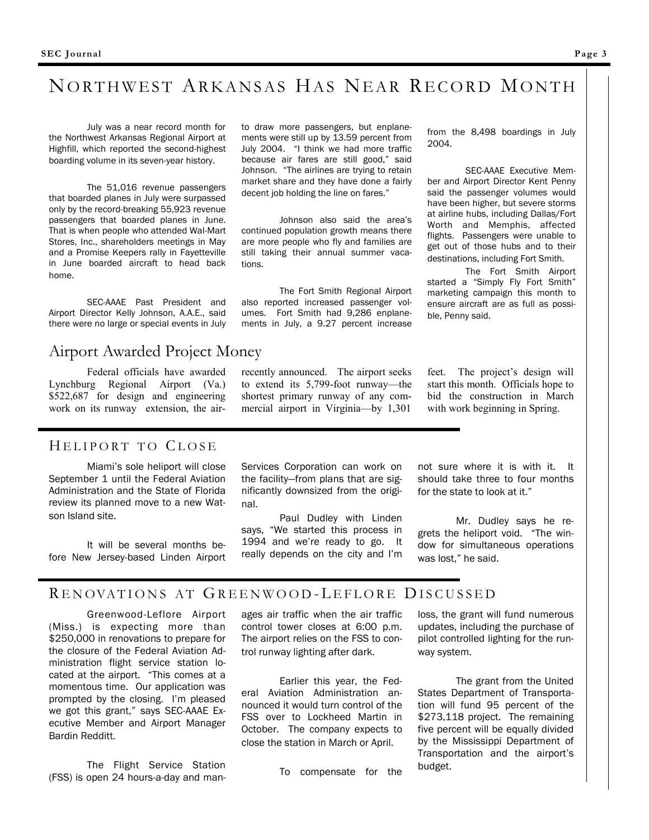# NORTHWEST ARKANSAS HAS NEAR RECORD MONTH

July was a near record month for the Northwest Arkansas Regional Airport at Highfill, which reported the second-highest boarding volume in its seven-year history.

The 51,016 revenue passengers that boarded planes in July were surpassed only by the record-breaking 55,923 revenue passengers that boarded planes in June. That is when people who attended Wal-Mart Stores, Inc., shareholders meetings in May and a Promise Keepers rally in Fayetteville in June boarded aircraft to head back home.

SEC-AAAE Past President and Airport Director Kelly Johnson, A.A.E., said there were no large or special events in July

## Airport Awarded Project Money

Federal officials have awarded Lynchburg Regional Airport (Va.) \$522,687 for design and engineering work on its runway extension, the airto draw more passengers, but enplanements were still up by 13.59 percent from July 2004. "I think we had more traffic because air fares are still good," said Johnson. "The airlines are trying to retain market share and they have done a fairly decent job holding the line on fares."

Johnson also said the area's continued population growth means there are more people who fly and families are still taking their annual summer vacations.

The Fort Smith Regional Airport also reported increased passenger volumes. Fort Smith had 9,286 enplanements in July, a 9.27 percent increase

recently announced. The airport seeks to extend its 5,799-foot runway—the shortest primary runway of any commercial airport in Virginia—by 1,301

#### from the 8,498 boardings in July 2004.

SEC-AAAE Executive Member and Airport Director Kent Penny said the passenger volumes would have been higher, but severe storms at airline hubs, including Dallas/Fort Worth and Memphis, affected flights. Passengers were unable to get out of those hubs and to their destinations, including Fort Smith.

The Fort Smith Airport started a "Simply Fly Fort Smith" marketing campaign this month to ensure aircraft are as full as possible, Penny said.

feet. The project's design will start this month. Officials hope to bid the construction in March with work beginning in Spring.

### HELIPORT TO CLOSE

Miami's sole heliport will close September 1 until the Federal Aviation Administration and the State of Florida review its planned move to a new Watson Island site.

It will be several months before New Jersey-based Linden Airport Services Corporation can work on the facility—from plans that are significantly downsized from the original.

Paul Dudley with Linden says, "We started this process in 1994 and we're ready to go. It really depends on the city and I'm not sure where it is with it. It should take three to four months for the state to look at it."

Mr. Dudley says he regrets the heliport void. "The window for simultaneous operations was lost," he said.

### RENOVATIONS AT GREENWOOD-LEFLORE DISCUSSED

Greenwood-Leflore Airport (Miss.) is expecting more than \$250,000 in renovations to prepare for the closure of the Federal Aviation Administration flight service station located at the airport. "This comes at a momentous time. Our application was prompted by the closing. I'm pleased we got this grant," says SEC-AAAE Executive Member and Airport Manager Bardin Redditt.

The Flight Service Station (FSS) is open 24 hours-a-day and manages air traffic when the air traffic control tower closes at 6:00 p.m. The airport relies on the FSS to control runway lighting after dark.

Earlier this year, the Federal Aviation Administration announced it would turn control of the FSS over to Lockheed Martin in October. The company expects to close the station in March or April.

To compensate for the

loss, the grant will fund numerous updates, including the purchase of pilot controlled lighting for the runway system.

The grant from the United States Department of Transportation will fund 95 percent of the \$273,118 project. The remaining five percent will be equally divided by the Mississippi Department of Transportation and the airport's budget.